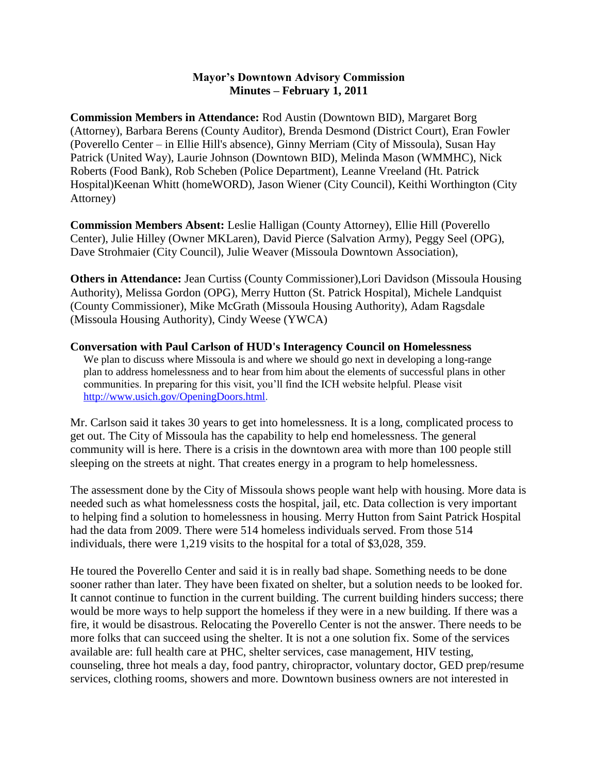## **Mayor's Downtown Advisory Commission Minutes – February 1, 2011**

**Commission Members in Attendance:** Rod Austin (Downtown BID), Margaret Borg (Attorney), Barbara Berens (County Auditor), Brenda Desmond (District Court), Eran Fowler (Poverello Center – in Ellie Hill's absence), Ginny Merriam (City of Missoula), Susan Hay Patrick (United Way), Laurie Johnson (Downtown BID), Melinda Mason (WMMHC), Nick Roberts (Food Bank), Rob Scheben (Police Department), Leanne Vreeland (Ht. Patrick Hospital)Keenan Whitt (homeWORD), Jason Wiener (City Council), Keithi Worthington (City Attorney)

**Commission Members Absent:** Leslie Halligan (County Attorney), Ellie Hill (Poverello Center), Julie Hilley (Owner MKLaren), David Pierce (Salvation Army), Peggy Seel (OPG), Dave Strohmaier (City Council), Julie Weaver (Missoula Downtown Association),

**Others in Attendance:** Jean Curtiss (County Commissioner),Lori Davidson (Missoula Housing Authority), Melissa Gordon (OPG), Merry Hutton (St. Patrick Hospital), Michele Landquist (County Commissioner), Mike McGrath (Missoula Housing Authority), Adam Ragsdale (Missoula Housing Authority), Cindy Weese (YWCA)

## **Conversation with Paul Carlson of HUD's Interagency Council on Homelessness**

We plan to discuss where Missoula is and where we should go next in developing a long-range plan to address homelessness and to hear from him about the elements of successful plans in other communities. In preparing for this visit, you'll find the ICH website helpful. Please visit [http://www.usich.gov/OpeningDoors.html.](http://www.usich.gov/OpeningDoors.html)

Mr. Carlson said it takes 30 years to get into homelessness. It is a long, complicated process to get out. The City of Missoula has the capability to help end homelessness. The general community will is here. There is a crisis in the downtown area with more than 100 people still sleeping on the streets at night. That creates energy in a program to help homelessness.

The assessment done by the City of Missoula shows people want help with housing. More data is needed such as what homelessness costs the hospital, jail, etc. Data collection is very important to helping find a solution to homelessness in housing. Merry Hutton from Saint Patrick Hospital had the data from 2009. There were 514 homeless individuals served. From those 514 individuals, there were 1,219 visits to the hospital for a total of \$3,028, 359.

He toured the Poverello Center and said it is in really bad shape. Something needs to be done sooner rather than later. They have been fixated on shelter, but a solution needs to be looked for. It cannot continue to function in the current building. The current building hinders success; there would be more ways to help support the homeless if they were in a new building. If there was a fire, it would be disastrous. Relocating the Poverello Center is not the answer. There needs to be more folks that can succeed using the shelter. It is not a one solution fix. Some of the services available are: full health care at PHC, shelter services, case management, HIV testing, counseling, three hot meals a day, food pantry, chiropractor, voluntary doctor, GED prep/resume services, clothing rooms, showers and more. Downtown business owners are not interested in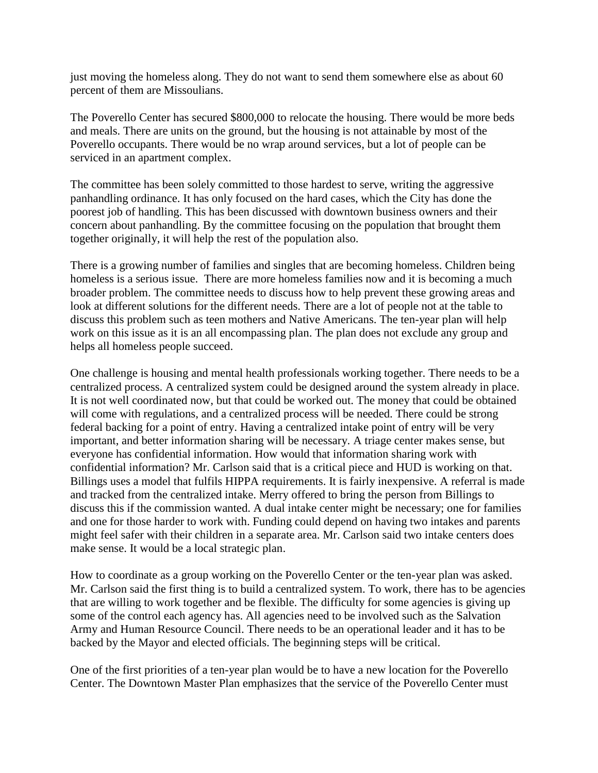just moving the homeless along. They do not want to send them somewhere else as about 60 percent of them are Missoulians.

The Poverello Center has secured \$800,000 to relocate the housing. There would be more beds and meals. There are units on the ground, but the housing is not attainable by most of the Poverello occupants. There would be no wrap around services, but a lot of people can be serviced in an apartment complex.

The committee has been solely committed to those hardest to serve, writing the aggressive panhandling ordinance. It has only focused on the hard cases, which the City has done the poorest job of handling. This has been discussed with downtown business owners and their concern about panhandling. By the committee focusing on the population that brought them together originally, it will help the rest of the population also.

There is a growing number of families and singles that are becoming homeless. Children being homeless is a serious issue. There are more homeless families now and it is becoming a much broader problem. The committee needs to discuss how to help prevent these growing areas and look at different solutions for the different needs. There are a lot of people not at the table to discuss this problem such as teen mothers and Native Americans. The ten-year plan will help work on this issue as it is an all encompassing plan. The plan does not exclude any group and helps all homeless people succeed.

One challenge is housing and mental health professionals working together. There needs to be a centralized process. A centralized system could be designed around the system already in place. It is not well coordinated now, but that could be worked out. The money that could be obtained will come with regulations, and a centralized process will be needed. There could be strong federal backing for a point of entry. Having a centralized intake point of entry will be very important, and better information sharing will be necessary. A triage center makes sense, but everyone has confidential information. How would that information sharing work with confidential information? Mr. Carlson said that is a critical piece and HUD is working on that. Billings uses a model that fulfils HIPPA requirements. It is fairly inexpensive. A referral is made and tracked from the centralized intake. Merry offered to bring the person from Billings to discuss this if the commission wanted. A dual intake center might be necessary; one for families and one for those harder to work with. Funding could depend on having two intakes and parents might feel safer with their children in a separate area. Mr. Carlson said two intake centers does make sense. It would be a local strategic plan.

How to coordinate as a group working on the Poverello Center or the ten-year plan was asked. Mr. Carlson said the first thing is to build a centralized system. To work, there has to be agencies that are willing to work together and be flexible. The difficulty for some agencies is giving up some of the control each agency has. All agencies need to be involved such as the Salvation Army and Human Resource Council. There needs to be an operational leader and it has to be backed by the Mayor and elected officials. The beginning steps will be critical.

One of the first priorities of a ten-year plan would be to have a new location for the Poverello Center. The Downtown Master Plan emphasizes that the service of the Poverello Center must